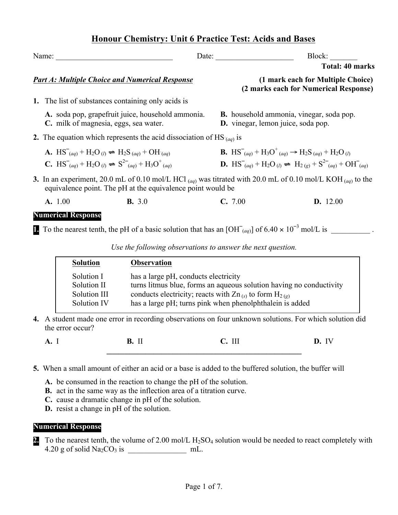# **Honour Chemistry: Unit 6 Practice Test: Acids and Bases**

| Name:                                                                                                                                                                                                                  | Date:           |                                                                                                                                                                                                                        | Block:                                                                     |  |  |  |  |
|------------------------------------------------------------------------------------------------------------------------------------------------------------------------------------------------------------------------|-----------------|------------------------------------------------------------------------------------------------------------------------------------------------------------------------------------------------------------------------|----------------------------------------------------------------------------|--|--|--|--|
|                                                                                                                                                                                                                        |                 |                                                                                                                                                                                                                        | <b>Total: 40 marks</b>                                                     |  |  |  |  |
| <b>Part A: Multiple Choice and Numerical Response</b>                                                                                                                                                                  |                 |                                                                                                                                                                                                                        | (1 mark each for Multiple Choice)<br>(2 marks each for Numerical Response) |  |  |  |  |
| 1. The list of substances containing only acids is                                                                                                                                                                     |                 |                                                                                                                                                                                                                        |                                                                            |  |  |  |  |
| A. soda pop, grapefruit juice, household ammonia.<br>C. milk of magnesia, eggs, sea water.                                                                                                                             |                 | <b>B.</b> household ammonia, vinegar, soda pop.<br><b>D.</b> vinegar, lemon juice, soda pop.                                                                                                                           |                                                                            |  |  |  |  |
| 2. The equation which represents the acid dissociation of HS $_{(aq)}$ is                                                                                                                                              |                 |                                                                                                                                                                                                                        |                                                                            |  |  |  |  |
| <b>A.</b> $HS_{(aq)}^{\dagger} + H_2O_{(l)} \rightleftharpoons H_2S_{(aq)}^{\dagger} + OH_{(aq)}^{\dagger}$<br><b>C.</b> $HS_{(aa)}^{\text{-}} + H_2O_{(l)} \rightleftharpoons S_{(aa)}^{2-} + H_3O_{(aa)}^{\text{+}}$ |                 | <b>B.</b> $HS^-(aq) + H_3O^+(aq) \rightarrow H_2S_{(aq)} + H_2O_{(l)}$<br><b>D.</b> $\text{HS}_{(aa)}^{-} + \text{H}_2\text{O}_{(l)} \rightleftharpoons \text{H}_{2(a)} + \text{S}^{2-}_{(aa)} + \text{OH}_{(aa)}^{-}$ |                                                                            |  |  |  |  |
| 3. In an experiment, 20.0 mL of 0.10 mol/L HCl (ag) was titrated with 20.0 mL of 0.10 mol/L KOH (ag) to the<br>equivalence point. The pH at the equivalence point would be                                             |                 |                                                                                                                                                                                                                        |                                                                            |  |  |  |  |
| A. 1.00                                                                                                                                                                                                                | <b>B.</b> $3.0$ | C. 7.00                                                                                                                                                                                                                | D. 12.00                                                                   |  |  |  |  |
| <b>Numerical Response</b>                                                                                                                                                                                              |                 |                                                                                                                                                                                                                        |                                                                            |  |  |  |  |
| To the nearest tenth, the pH of a basic solution that has an $[OH^-_{(aq)}]$ of 6.40 $\times$ 10 <sup>-3</sup> mol/L is                                                                                                |                 |                                                                                                                                                                                                                        |                                                                            |  |  |  |  |

*Use the following observations to answer the next question.*

| <b>Solution</b>                                          | <b>Observation</b>                                                                                                                                                                                                                         |
|----------------------------------------------------------|--------------------------------------------------------------------------------------------------------------------------------------------------------------------------------------------------------------------------------------------|
| Solution I<br>Solution II<br>Solution III<br>Solution IV | has a large pH, conducts electricity<br>turns litmus blue, forms an aqueous solution having no conductivity<br>conducts electricity; reacts with $Zn_{(s)}$ to form $H_{2(g)}$<br>has a large pH; turns pink when phenolphthalein is added |
|                                                          | udent made one error in recording observations on four unknown solutions. For which solution did                                                                                                                                           |

**4.** A student made one error in recording observations on four unknown solutions. For which solution did the error occur?

**A.** I **B.** II **C.** III **D.** IV

**\_\_\_\_\_\_\_\_\_\_\_\_\_\_\_\_\_\_\_\_\_\_\_\_\_\_\_\_\_\_\_\_\_\_\_\_\_\_\_\_\_\_\_\_\_\_\_\_\_\_**

**5.** When a small amount of either an acid or a base is added to the buffered solution, the buffer will

**A.** be consumed in the reaction to change the pH of the solution.

**B.** act in the same way as the inflection area of a titration curve.

**C.** cause a dramatic change in pH of the solution.

**D.** resist a change in pH of the solution.

## **Numerical Response**

**2.** To the nearest tenth, the volume of 2.00 mol/L H<sub>2</sub>SO<sub>4</sub> solution would be needed to react completely with 4.20 g of solid Na2CO3 is \_\_\_\_\_\_\_\_\_\_\_\_\_\_\_ mL.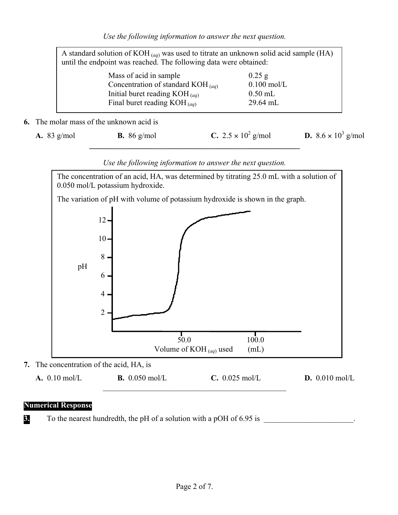| A standard solution of KOH $_{(aq)}$ was used to titrate an unknown solid acid sample (HA)<br>until the endpoint was reached. The following data were obtained: |                                         |               |  |  |  |  |  |  |  |  |
|-----------------------------------------------------------------------------------------------------------------------------------------------------------------|-----------------------------------------|---------------|--|--|--|--|--|--|--|--|
|                                                                                                                                                                 | Mass of acid in sample                  | $0.25$ g      |  |  |  |  |  |  |  |  |
|                                                                                                                                                                 | Concentration of standard KOH $_{(aq)}$ | $0.100$ mol/L |  |  |  |  |  |  |  |  |
|                                                                                                                                                                 | Initial buret reading $KOH_{(aq)}$      | $0.50$ mL     |  |  |  |  |  |  |  |  |
|                                                                                                                                                                 | Final buret reading $KOH_{(aq)}$        | 29.64 mL      |  |  |  |  |  |  |  |  |

**6.** The molar mass of the unknown acid is

| A. 83 $g/mol$ | <b>B.</b> 86 g/mol | <b>C.</b> 2.5 $\times$ 10 <sup>2</sup> g/mol | <b>D.</b> $8.6 \times 10^3$ g/mol |
|---------------|--------------------|----------------------------------------------|-----------------------------------|
|               |                    |                                              |                                   |



## *Use the following information to answer the next question.*

#### **Numerical Response**

**3.** To the nearest hundredth, the pH of a solution with a pOH of 6.95 is \_\_\_\_\_\_\_\_\_\_\_\_\_\_\_\_\_\_\_\_\_\_\_.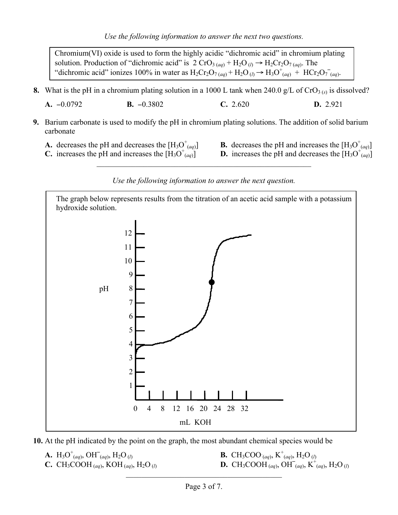Chromium(VI) oxide is used to form the highly acidic "dichromic acid" in chromium plating solution. Production of "dichromic acid" is 2 CrO<sub>3 (*aq*)</sub> + H<sub>2</sub>O<sub>(*l*)</sub>  $\rightarrow$  H<sub>2</sub>Cr<sub>2</sub>O<sub>7 (*aq*)</sub>. The "dichromic acid" ionizes 100% in water as  $H_2Cr_2O_{7(aq)} + H_2O_{(l)} \rightarrow H_3O_{(aq)}^+ + HCr_2O_{7(aq)}^-$ 

**8.** What is the pH in a chromium plating solution in a 1000 L tank when 240.0  $g/L$  of  $CrO<sub>3 (s)</sub>$  is dissolved?

**A.** −0.0792 **B.** −0.3802 **C.** 2.620 **D.** 2.921

- **9.** Barium carbonate is used to modify the pH in chromium plating solutions. The addition of solid barium carbonate
	- **A.** decreases the pH and decreases the  $[H_3O^{\dagger}_{(aq)}]$
	- **C.** increases the pH and increases the  $[H_3O^{\dagger}_{(aa)}]$
- $\mathbf{B}$ . decreases the pH and increases the  $[H_3O^{\dagger}_{(aq)}]$
- $\left(\frac{a}{(aq)}\right)$  **D.** increases the pH and decreases the  $\left[H_3O^+\right]$

#### *Use the following information to answer the next question.*

 $\mathcal{L}_\text{max}$  and  $\mathcal{L}_\text{max}$  and  $\mathcal{L}_\text{max}$  and  $\mathcal{L}_\text{max}$  and  $\mathcal{L}_\text{max}$  and  $\mathcal{L}_\text{max}$ 



**10.** At the pH indicated by the point on the graph, the most abundant chemical species would be

**A.**  $H_3O^+_{(aq)}$ , OH<sup>–</sup> **C.** CH<sub>3</sub>COOH (*aq*), KOH (*aq*), H<sub>2</sub>O (*l*)

 $\mathbf{B.} \quad \text{CH}_3\text{COO}^{-}_{(aq)}, \quad \text{K}^{+}_{(aq)}, \text{H}_2\text{O}^{-}_{(l)}$  $K^+(aq)$ ,  $K^+(aq)$ ,  $H_2O(q)$ 

 $\mathcal{L}_\text{max}$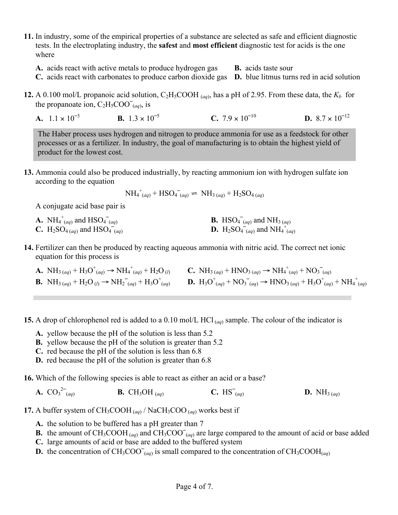**11.** In industry, some of the empirical properties of a substance are selected as safe and efficient diagnostic tests. In the electroplating industry, the **safest** and **most efficient** diagnostic test for acids is the one where

**A.** acids react with active metals to produce hydrogen gas **B.** acids taste sour

- **C.** acids react with carbonates to produce carbon dioxide gas **D.** blue litmus turns red in acid solution
- **12.** A 0.100 mol/L propanoic acid solution,  $C_2H_5COOH$  (*aq*), has a pH of 2.95. From these data, the  $K_b$  for the propanoate ion,  $C_2H_5COO_{(aq)}^-$ , is
	- **A.**  $1.1 \times 10^{-3}$  **B.**  $1.3 \times 10^{-5}$  **C.**  $7.9 \times 10^{-10}$  **D.**  $8.7 \times 10^{-12}$

The Haber process uses hydrogen and nitrogen to produce ammonia for use as a feedstock for other processes or as a fertilizer. In industry, the goal of manufacturing is to obtain the highest yield of product for the lowest cost.

**13.** Ammonia could also be produced industrially, by reacting ammonium ion with hydrogen sulfate ion according to the equation

$$
NH_4^+(aq) + HSO_4^-(aq) \rightleftharpoons NH_{3\,(aq)} + H_2SO_{4\,(aq)}
$$

A conjugate acid base pair is

| <b>A.</b> NH <sub>4</sub> <sup>+</sup> <sub>(aq)</sub> and HSO <sub>4</sub> <sup>-</sup> <sub>(aq)</sub> | <b>B.</b> HSO <sub>4</sub> <sup><math>(aq)</math></sup> and NH <sub>3</sub> $(aq)$                                     |
|----------------------------------------------------------------------------------------------------------|------------------------------------------------------------------------------------------------------------------------|
| <b>C.</b> H <sub>2</sub> SO <sub>4 (aq)</sub> and HSO <sub>4</sub> <sup>-</sup> <sub>(aq)</sub>          | <b>D.</b> H <sub>2</sub> SO <sub>4</sub> <sup>-</sup> <sub>(aq)</sub> and NH <sub>4</sub> <sup>+</sup> <sub>(aq)</sub> |

- **14.** Fertilizer can then be produced by reacting aqueous ammonia with nitric acid. The correct net ionic equation for this process is
	- **A.**  $NH_{3}(aq) + H_3O^+(aq) \rightarrow NH_4^+(aq) + H_2O(l)$  <br>**C.**  $NH_{3}(aq) + HNO_{3}(aq) \rightarrow NH_4^+(aq) + NO_3^-(aq)$ **B.**  $NH_{3}(aq) + H_2O_{(l)} \rightarrow NH_2^-(aq) + H_3O^+(aq)$  **D.**  $H_3O^+(aq) + NO_3^-(aq) \rightarrow HNO_{3}(aq) + H_3O^+(aq) + NH_4^+(aq)$
- **15.** A drop of chlorophenol red is added to a 0.10 mol/L HCl (*aq*) sample. The colour of the indicator is
	- **A.** yellow because the pH of the solution is less than 5.2
	- **B.** yellow because the pH of the solution is greater than 5.2
	- **C.** red because the pH of the solution is less than 6.8
	- **D.** red because the pH of the solution is greater than 6.8
- **16.** Which of the following species is able to react as either an acid or a base?

**A.**  $CO_3^2$ **B.** CH<sub>3</sub>OH (*aq*) **C.** HS<sup>-</sup>(*aq*) **D.** NH<sub>3 (*aq*)</sub>

- **17.** A buffer system of  $CH_3COOH$  (*aq*)</sub> / NaCH<sub>3</sub>COO (*aq*) works best if
	- **A.** the solution to be buffered has a pH greater than 7
	- **B.** the amount of CH<sub>3</sub>COOH (*aq*) and CH<sub>3</sub>COO<sup>-</sup>(*aq*) are large compared to the amount of acid or base added
	- **C.** large amounts of acid or base are added to the buffered system
	- **D.** the concentration of  $CH_3COO^-(aq)$  is small compared to the concentration of  $CH_3COOH^-(aq)$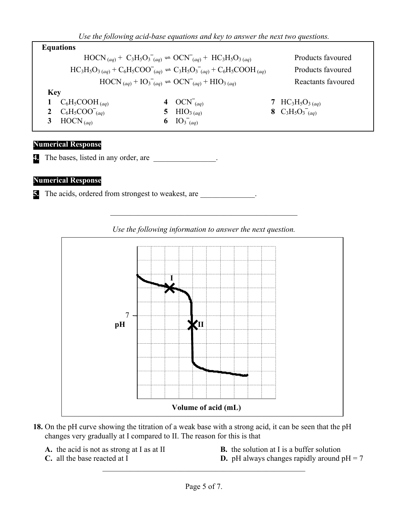*Use the following acid-base equations and key to answer the next two questions.*

|            | <b>Equations</b>                                                                              |                                                                                                         |                   |                                                      |  |  |  |  |  |
|------------|-----------------------------------------------------------------------------------------------|---------------------------------------------------------------------------------------------------------|-------------------|------------------------------------------------------|--|--|--|--|--|
|            |                                                                                               | $HOCN_{(aq)} + C_3H_5O_3^-_{(aq)} \rightleftharpoons OCN_{(aq)} + HC_3H_5O_{3(aq)}$                     |                   | Products favoured                                    |  |  |  |  |  |
|            | $HC_3H_5O_{3(aq)} + C_6H_5COO_{(aq)} \rightleftharpoons C_3H_5O_3_{(aq)} + C_6H_5COOH_{(aq)}$ |                                                                                                         | Products favoured |                                                      |  |  |  |  |  |
|            |                                                                                               | $\text{HOCN}_{(aq)} + \text{IO}_3^-_{(aq)} \rightleftharpoons \text{OCN}_{(aq)} + \text{HIO}_{3\ (aq)}$ |                   | Reactants favoured                                   |  |  |  |  |  |
| <b>Key</b> |                                                                                               |                                                                                                         |                   |                                                      |  |  |  |  |  |
|            | 1 $C_6H_5COOH$ (aq)                                                                           | 4 OCN <sup><math>(aq)</math></sup>                                                                      |                   | 7 HC <sub>3</sub> H <sub>5</sub> O <sub>3 (aq)</sub> |  |  |  |  |  |
|            | 2 $C_6H_5COO_{(aq)}^-$                                                                        | 8 $C_3H_5O_3(aq)$                                                                                       |                   |                                                      |  |  |  |  |  |
|            | 3 HOCN $(aq)$                                                                                 | 6 $IO_{3}^-(aq)$                                                                                        |                   |                                                      |  |  |  |  |  |
|            |                                                                                               |                                                                                                         |                   |                                                      |  |  |  |  |  |

## **Numerical Response**

**4.** The bases, listed in any order, are

## **Numerical Response**

**5.** The acids, ordered from strongest to weakest, are



*Use the following information to answer the next question.*

 $\mathcal{L}_\text{max}$  and the contract of the contract of the contract of the contract of the contract of the contract of the contract of the contract of the contract of the contract of the contract of the contract of the contrac

- **18.** On the pH curve showing the titration of a weak base with a strong acid, it can be seen that the pH changes very gradually at I compared to II. The reason for this is that
	-
	- **A.** the acid is not as strong at I as at II **B.** the solution at I is a buffer solution
		-
	- **C.** all the base reacted at I **D.** pH always changes rapidly around  $pH = 7$

 $\mathcal{L}_\text{max}$  and the contract of the contract of the contract of the contract of the contract of the contract of the contract of the contract of the contract of the contract of the contract of the contract of the contrac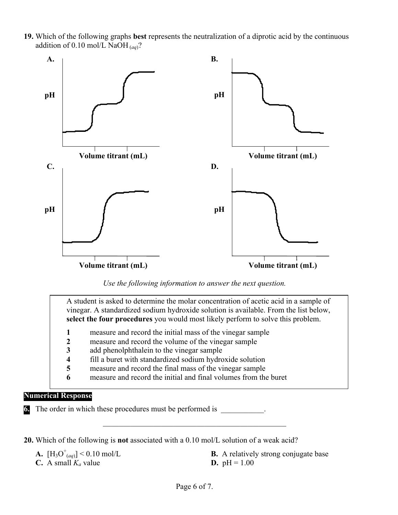**19.** Which of the following graphs **best** represents the neutralization of a diprotic acid by the continuous addition of 0.10 mol/L NaOH (*aq*)?



*Use the following information to answer the next question.*

A student is asked to determine the molar concentration of acetic acid in a sample of vinegar. A standardized sodium hydroxide solution is available. From the list below, **select the four procedures** you would most likely perform to solve this problem.

- **1** measure and record the initial mass of the vinegar sample
- **2** measure and record the volume of the vinegar sample
- **3** add phenolphthalein to the vinegar sample
- **4** fill a buret with standardized sodium hydroxide solution
- **5** measure and record the final mass of the vinegar sample
- **6** measure and record the initial and final volumes from the buret

### **Numerical Response**

**6.** The order in which these procedures must be performed is

**20.** Which of the following is **not** associated with a 0.10 mol/L solution of a weak acid?

- **A.**  $[H_3O^+(aq)] < 0.10$  mol/L
- **C.** A small  $K_a$  value **D.** pH = 1.00
- **B.** A relatively strong conjugate base

 $\mathcal{L}_\mathcal{L}$  , and the set of the set of the set of the set of the set of the set of the set of the set of the set of the set of the set of the set of the set of the set of the set of the set of the set of the set of th